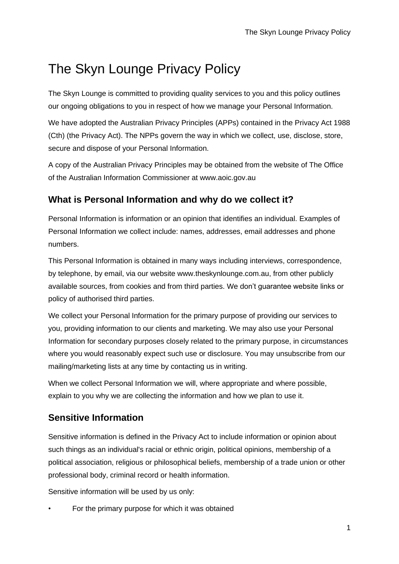# The Skyn Lounge Privacy Policy

The Skyn Lounge is committed to providing quality services to you and this policy outlines our ongoing obligations to you in respect of how we manage your Personal Information.

We have adopted the Australian Privacy Principles (APPs) contained in the Privacy Act 1988 (Cth) (the Privacy Act). The NPPs govern the way in which we collect, use, disclose, store, secure and dispose of your Personal Information.

A copy of the Australian Privacy Principles may be obtained from the website of The Office of the Australian Information Commissioner at www.aoic.gov.au

## **What is Personal Information and why do we collect it?**

Personal Information is information or an opinion that identifies an individual. Examples of Personal Information we collect include: names, addresses, email addresses and phone numbers.

This Personal Information is obtained in many ways including interviews, correspondence, by telephone, by email, via our website www.theskynlounge.com.au, from other publicly available sources, from cookies and from third parties. We don't guarantee website links or policy of authorised third parties.

We collect your Personal Information for the primary purpose of providing our services to you, providing information to our clients and marketing. We may also use your Personal Information for secondary purposes closely related to the primary purpose, in circumstances where you would reasonably expect such use or disclosure. You may unsubscribe from our mailing/marketing lists at any time by contacting us in writing.

When we collect Personal Information we will, where appropriate and where possible, explain to you why we are collecting the information and how we plan to use it.

# **Sensitive Information**

Sensitive information is defined in the Privacy Act to include information or opinion about such things as an individual's racial or ethnic origin, political opinions, membership of a political association, religious or philosophical beliefs, membership of a trade union or other professional body, criminal record or health information.

Sensitive information will be used by us only:

For the primary purpose for which it was obtained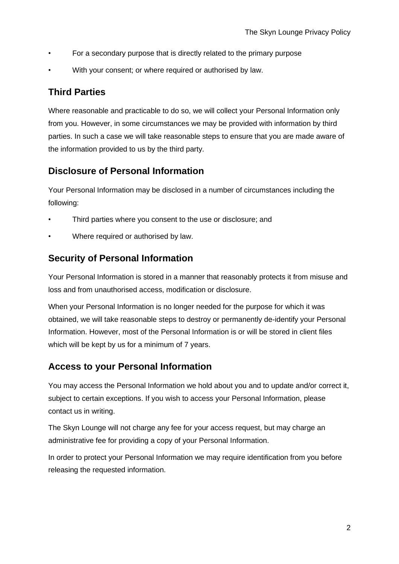- For a secondary purpose that is directly related to the primary purpose
- With your consent; or where required or authorised by law.

#### **Third Parties**

Where reasonable and practicable to do so, we will collect your Personal Information only from you. However, in some circumstances we may be provided with information by third parties. In such a case we will take reasonable steps to ensure that you are made aware of the information provided to us by the third party.

#### **Disclosure of Personal Information**

Your Personal Information may be disclosed in a number of circumstances including the following:

- Third parties where you consent to the use or disclosure; and
- Where required or authorised by law.

## **Security of Personal Information**

Your Personal Information is stored in a manner that reasonably protects it from misuse and loss and from unauthorised access, modification or disclosure.

When your Personal Information is no longer needed for the purpose for which it was obtained, we will take reasonable steps to destroy or permanently de-identify your Personal Information. However, most of the Personal Information is or will be stored in client files which will be kept by us for a minimum of 7 years.

#### **Access to your Personal Information**

You may access the Personal Information we hold about you and to update and/or correct it, subject to certain exceptions. If you wish to access your Personal Information, please contact us in writing.

The Skyn Lounge will not charge any fee for your access request, but may charge an administrative fee for providing a copy of your Personal Information.

In order to protect your Personal Information we may require identification from you before releasing the requested information.